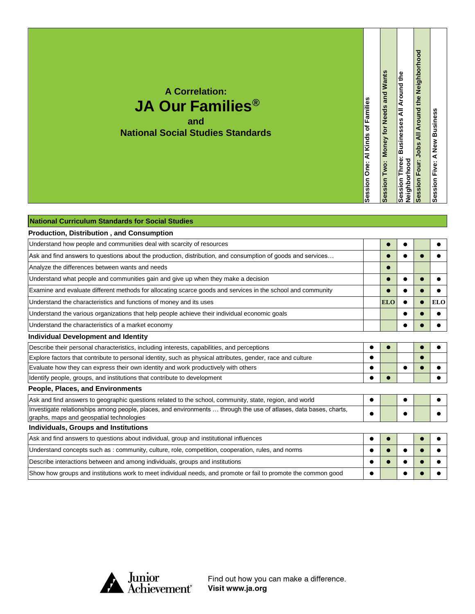**A Correlation: JA Our Families® and National Social Studies Standards** Session Two: Money for Needs and Wants **Session Two: Money for Needs and Wants**

**Session Three: Businesses All Around the** 

Session Three: Businesses All Around the<br>Neighborhood

**Session Four: Jobs All Around the Neighborhood**

Session Four: Jobs All Around the Neighborhood

**Session Five: A New Business**

Session Five: A New Business

**Neighborhood**

**Session One: Al Kinds of Families**

Session One: Al Kinds of Families

| National Curriculum Standards for Social Studies                                                                                                              |            |  |            |
|---------------------------------------------------------------------------------------------------------------------------------------------------------------|------------|--|------------|
| <b>Production, Distribution, and Consumption</b>                                                                                                              |            |  |            |
| Understand how people and communities deal with scarcity of resources                                                                                         |            |  |            |
| Ask and find answers to questions about the production, distribution, and consumption of goods and services                                                   |            |  |            |
| Analyze the differences between wants and needs                                                                                                               |            |  |            |
| Understand what people and communities gain and give up when they make a decision                                                                             |            |  |            |
| Examine and evaluate different methods for allocating scarce goods and services in the school and community                                                   |            |  |            |
| Understand the characteristics and functions of money and its uses                                                                                            | <b>ELO</b> |  | <b>ELO</b> |
| Understand the various organizations that help people achieve their individual economic goals                                                                 |            |  |            |
| Understand the characteristics of a market economy                                                                                                            |            |  |            |
| Individual Development and Identity                                                                                                                           |            |  |            |
| Describe their personal characteristics, including interests, capabilities, and perceptions                                                                   |            |  |            |
| Explore factors that contribute to personal identity, such as physical attributes, gender, race and culture                                                   |            |  |            |
| Evaluate how they can express their own identity and work productively with others                                                                            |            |  |            |
| Identify people, groups, and institutions that contribute to development                                                                                      |            |  |            |
| <b>People, Places, and Environments</b>                                                                                                                       |            |  |            |
| Ask and find answers to geographic questions related to the school, community, state, region, and world                                                       |            |  |            |
| Investigate relationships among people, places, and environments  through the use of atlases, data bases, charts,<br>graphs, maps and geospatial technologies |            |  |            |
| Individuals, Groups and Institutions                                                                                                                          |            |  |            |
| Ask and find answers to questions about individual, group and institutional influences                                                                        |            |  |            |
| Understand concepts such as: community, culture, role, competition, cooperation, rules, and norms                                                             |            |  |            |
| Describe interactions between and among individuals, groups and institutions                                                                                  |            |  |            |
| Show how groups and institutions work to meet individual needs, and promote or fail to promote the common good                                                |            |  |            |



Find out how you can make a difference. Visit www.ja.org